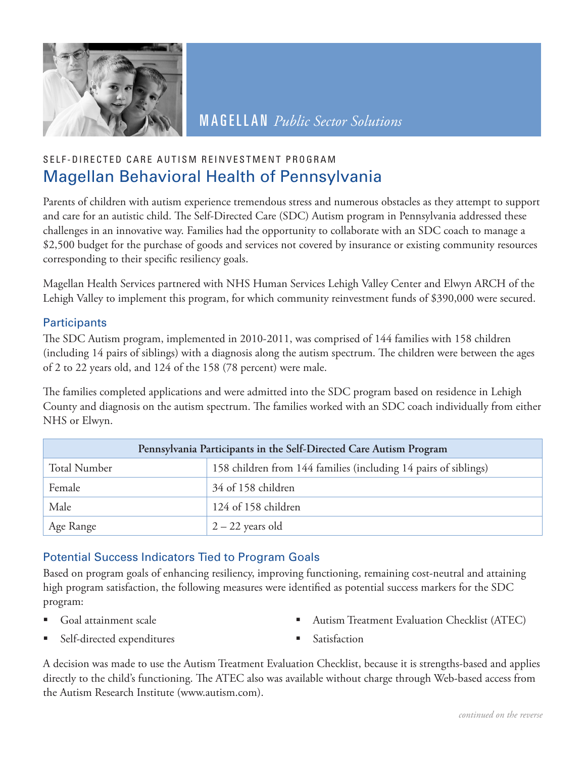

MAGELLAN *Public Sector Solutions*

# SELF-DIRECTED CARE AUTISM REINVESTMENT PROGRAM Magellan Behavioral Health of Pennsylvania

Parents of children with autism experience tremendous stress and numerous obstacles as they attempt to support and care for an autistic child. The Self-Directed Care (SDC) Autism program in Pennsylvania addressed these challenges in an innovative way. Families had the opportunity to collaborate with an SDC coach to manage a \$2,500 budget for the purchase of goods and services not covered by insurance or existing community resources corresponding to their specific resiliency goals.

Magellan Health Services partnered with NHS Human Services Lehigh Valley Center and Elwyn ARCH of the Lehigh Valley to implement this program, for which community reinvestment funds of \$390,000 were secured.

## **Participants**

The SDC Autism program, implemented in 2010-2011, was comprised of 144 families with 158 children (including 14 pairs of siblings) with a diagnosis along the autism spectrum. The children were between the ages of 2 to 22 years old, and 124 of the 158 (78 percent) were male.

The families completed applications and were admitted into the SDC program based on residence in Lehigh County and diagnosis on the autism spectrum. The families worked with an SDC coach individually from either NHS or Elwyn.

| Pennsylvania Participants in the Self-Directed Care Autism Program |                                                                 |  |  |
|--------------------------------------------------------------------|-----------------------------------------------------------------|--|--|
| <b>Total Number</b>                                                | 158 children from 144 families (including 14 pairs of siblings) |  |  |
| Female                                                             | 34 of 158 children                                              |  |  |
| Male                                                               | 124 of 158 children                                             |  |  |
| Age Range                                                          | $2 - 22$ years old                                              |  |  |

# Potential Success Indicators Tied to Program Goals

Based on program goals of enhancing resiliency, improving functioning, remaining cost-neutral and attaining high program satisfaction, the following measures were identified as potential success markers for the SDC program:

Goal attainment scale

Autism Treatment Evaluation Checklist (ATEC)

Self-directed expenditures

Satisfaction

A decision was made to use the Autism Treatment Evaluation Checklist, because it is strengths-based and applies directly to the child's functioning. The ATEC also was available without charge through Web-based access from the Autism Research Institute (www.autism.com).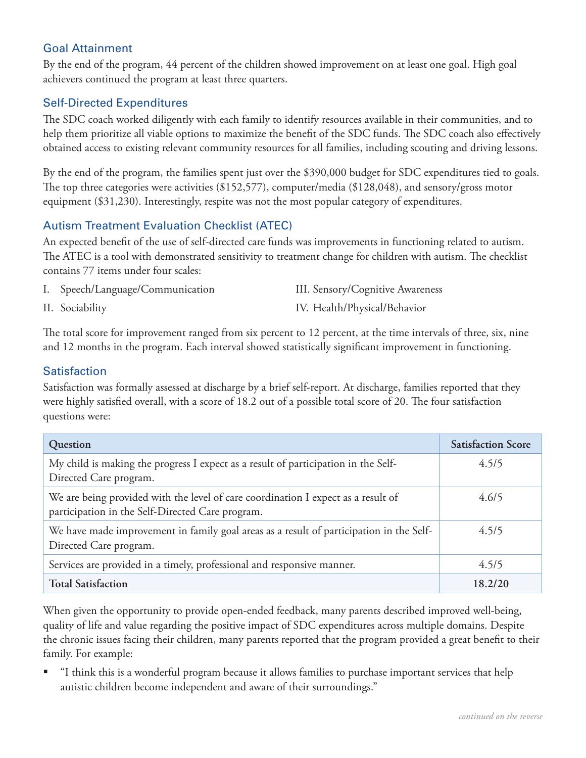## Goal Attainment

By the end of the program, 44 percent of the children showed improvement on at least one goal. High goal achievers continued the program at least three quarters.

#### Self-Directed Expenditures

The SDC coach worked diligently with each family to identify resources available in their communities, and to help them prioritize all viable options to maximize the benefit of the SDC funds. The SDC coach also effectively obtained access to existing relevant community resources for all families, including scouting and driving lessons.

By the end of the program, the families spent just over the \$390,000 budget for SDC expenditures tied to goals. The top three categories were activities (\$152,577), computer/media (\$128,048), and sensory/gross motor equipment (\$31,230). Interestingly, respite was not the most popular category of expenditures.

#### Autism Treatment Evaluation Checklist (ATEC)

An expected benefit of the use of self-directed care funds was improvements in functioning related to autism. The ATEC is a tool with demonstrated sensitivity to treatment change for children with autism. The checklist contains 77 items under four scales:

| I. Speech/Language/Communication | III. Sensory/Cognitive Awareness |
|----------------------------------|----------------------------------|
| II. Sociability                  | IV. Health/Physical/Behavior     |

The total score for improvement ranged from six percent to 12 percent, at the time intervals of three, six, nine and 12 months in the program. Each interval showed statistically significant improvement in functioning.

#### **Satisfaction**

Satisfaction was formally assessed at discharge by a brief self-report. At discharge, families reported that they were highly satisfied overall, with a score of 18.2 out of a possible total score of 20. The four satisfaction questions were:

| Question                                                                                                                              | <b>Satisfaction Score</b> |
|---------------------------------------------------------------------------------------------------------------------------------------|---------------------------|
| My child is making the progress I expect as a result of participation in the Self-<br>Directed Care program.                          | 4.5/5                     |
| We are being provided with the level of care coordination I expect as a result of<br>participation in the Self-Directed Care program. | 4.6/5                     |
| We have made improvement in family goal areas as a result of participation in the Self-<br>Directed Care program.                     | 4.5/5                     |
| Services are provided in a timely, professional and responsive manner.                                                                | 4.5/5                     |
| <b>Total Satisfaction</b>                                                                                                             | 18.2/20                   |

When given the opportunity to provide open-ended feedback, many parents described improved well-being, quality of life and value regarding the positive impact of SDC expenditures across multiple domains. Despite the chronic issues facing their children, many parents reported that the program provided a great benefit to their family. For example:

 "I think this is a wonderful program because it allows families to purchase important services that help autistic children become independent and aware of their surroundings."